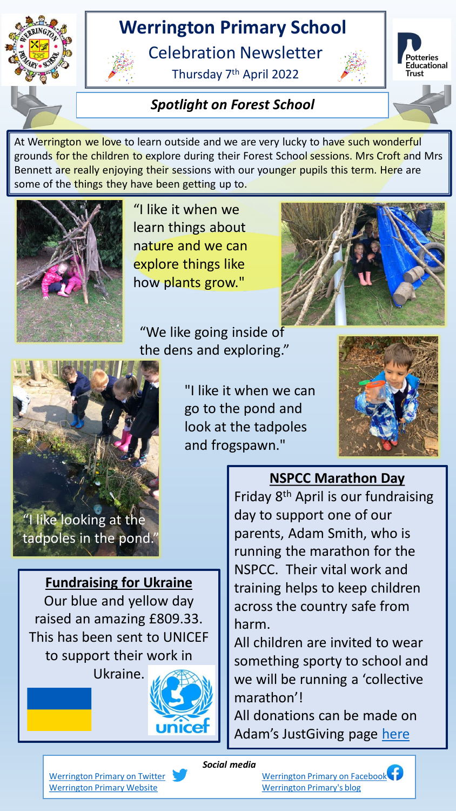# **Werrington Primary School**

Celebration Newsletter

Thursday 7th April 2022



**stteries** Educational **Trust** 

#### *Spotlight on Forest School*

At Werrington we love to learn outside and we are very lucky to have such wonderful grounds for the children to explore during their Forest School sessions. Mrs Croft and Mrs Bennett are really enjoying their sessions with our younger pupils this term. Here are some of the things they have been getting up to.



"I like it when we learn things about nature and we can explore things like how plants grow."

"We like going inside of



"I like it when we can go to the pond and look at the tadpoles and frogspawn."



## **NSPCC Marathon Day**

Friday 8th April is our fundraising day to support one of our parents, Adam Smith, who is running the marathon for the NSPCC. Their vital work and training helps to keep children across the country safe from harm.

All children are invited to wear something sporty to school and we will be running a 'collective marathon'!

All donations can be made on Adam's JustGiving page [here](https://www.justgiving.com/fundraising/adam-smith227?experiments=donate_now_track_click&successType=StaticDonateButtonClick)

**Fundraising for Ukraine**

Our blue and yellow day

raised an amazing £809.33.

This has been sent to UNICEF

to support their work in

Ukraine.

*Social media*

JNIC

[Werrington Primary on Twitter](https://twitter.com/wps_staffs) [Werrington Primary on Facebook](https://www.facebook.com/Werrington-Primary-School-Staffs-1512795939031470) [Werrington Primary Website](http://www.werringtonprimary.org.uk/) [Werrington Primary's blog](http://www.werringtonprimary.schoolblogs.org/)

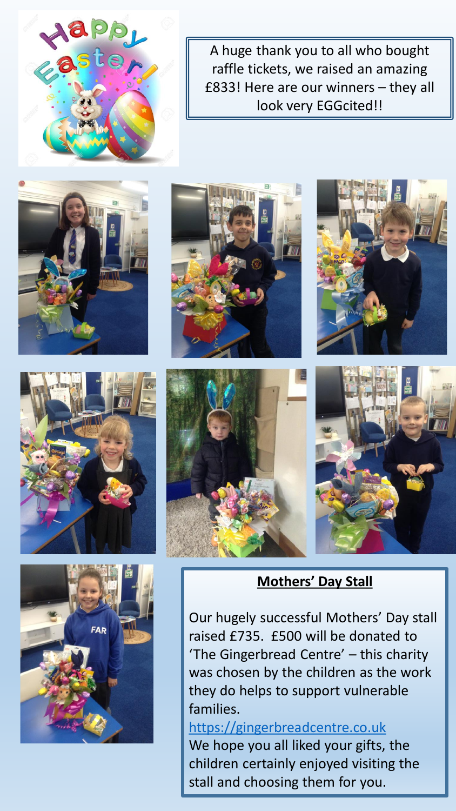A huge thank you to all who bought raffle tickets, we raised an amazing £833! Here are our winners – they all look very EGGcited!!















Our hugely successful Mothers' Day stall raised £735. £500 will be donated to 'The Gingerbread Centre' – this charity was chosen by the children as the work they do helps to support vulnerable families.

[https://gingerbreadcentre.co.uk](https://gingerbreadcentre.co.uk/) We hope you all liked your gifts, the children certainly enjoyed visiting the stall and choosing them for you.